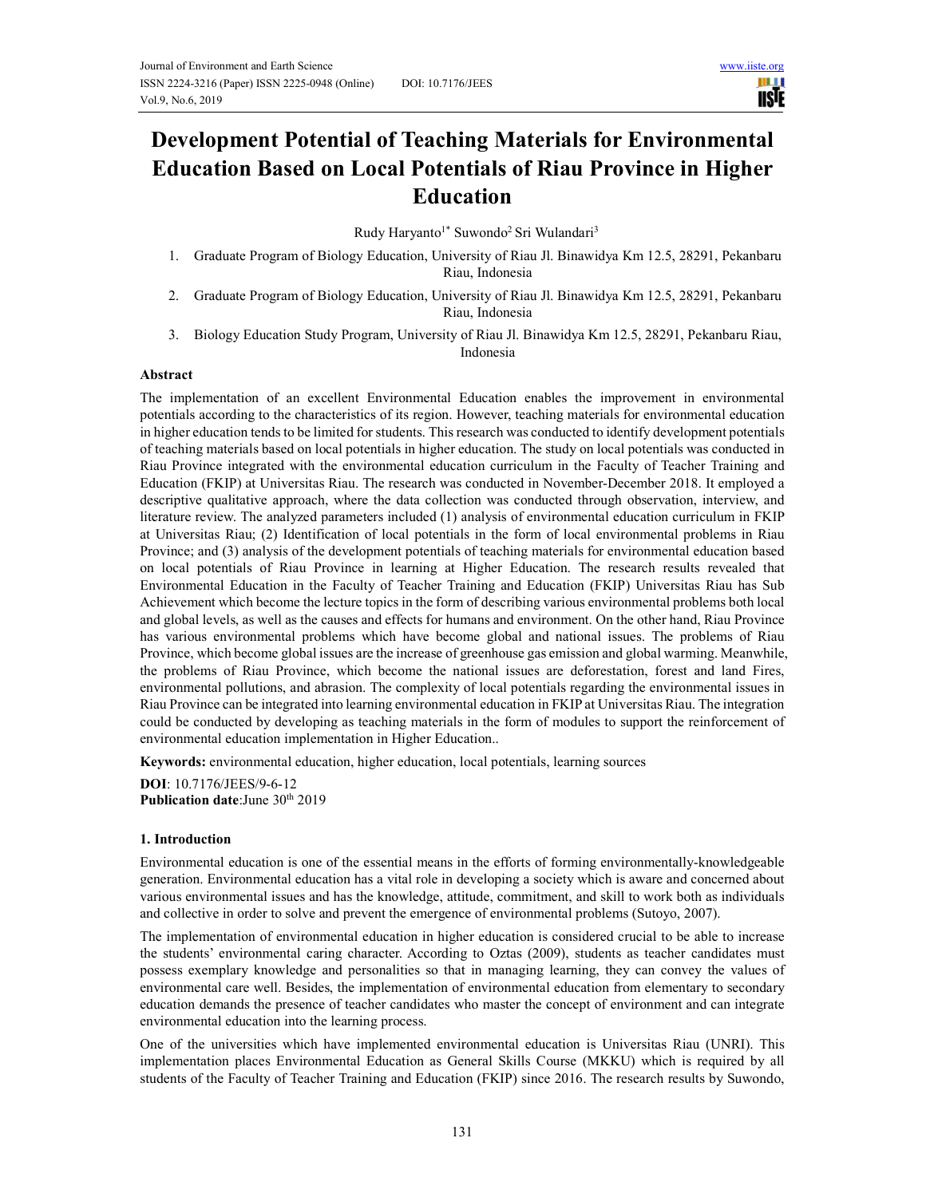

# **Development Potential of Teaching Materials for Environmental Education Based on Local Potentials of Riau Province in Higher Education**

Rudy Haryanto<sup>1\*</sup> Suwondo<sup>2</sup> Sri Wulandari<sup>3</sup>

- 1. Graduate Program of Biology Education, University of Riau Jl. Binawidya Km 12.5, 28291, Pekanbaru Riau, Indonesia
- 2. Graduate Program of Biology Education, University of Riau Jl. Binawidya Km 12.5, 28291, Pekanbaru Riau, Indonesia
- 3. Biology Education Study Program, University of Riau Jl. Binawidya Km 12.5, 28291, Pekanbaru Riau, Indonesia

#### **Abstract**

The implementation of an excellent Environmental Education enables the improvement in environmental potentials according to the characteristics of its region. However, teaching materials for environmental education in higher education tends to be limited for students. This research was conducted to identify development potentials of teaching materials based on local potentials in higher education. The study on local potentials was conducted in Riau Province integrated with the environmental education curriculum in the Faculty of Teacher Training and Education (FKIP) at Universitas Riau. The research was conducted in November-December 2018. It employed a descriptive qualitative approach, where the data collection was conducted through observation, interview, and literature review. The analyzed parameters included (1) analysis of environmental education curriculum in FKIP at Universitas Riau; (2) Identification of local potentials in the form of local environmental problems in Riau Province; and (3) analysis of the development potentials of teaching materials for environmental education based on local potentials of Riau Province in learning at Higher Education. The research results revealed that Environmental Education in the Faculty of Teacher Training and Education (FKIP) Universitas Riau has Sub Achievement which become the lecture topics in the form of describing various environmental problems both local and global levels, as well as the causes and effects for humans and environment. On the other hand, Riau Province has various environmental problems which have become global and national issues. The problems of Riau Province, which become global issues are the increase of greenhouse gas emission and global warming. Meanwhile, the problems of Riau Province, which become the national issues are deforestation, forest and land Fires, environmental pollutions, and abrasion. The complexity of local potentials regarding the environmental issues in Riau Province can be integrated into learning environmental education in FKIP at Universitas Riau. The integration could be conducted by developing as teaching materials in the form of modules to support the reinforcement of environmental education implementation in Higher Education..

**Keywords:** environmental education, higher education, local potentials, learning sources

**DOI**: 10.7176/JEES/9-6-12 Publication date:June 30<sup>th</sup> 2019

#### **1. Introduction**

Environmental education is one of the essential means in the efforts of forming environmentally-knowledgeable generation. Environmental education has a vital role in developing a society which is aware and concerned about various environmental issues and has the knowledge, attitude, commitment, and skill to work both as individuals and collective in order to solve and prevent the emergence of environmental problems (Sutoyo, 2007).

The implementation of environmental education in higher education is considered crucial to be able to increase the students' environmental caring character. According to Oztas (2009), students as teacher candidates must possess exemplary knowledge and personalities so that in managing learning, they can convey the values of environmental care well. Besides, the implementation of environmental education from elementary to secondary education demands the presence of teacher candidates who master the concept of environment and can integrate environmental education into the learning process.

One of the universities which have implemented environmental education is Universitas Riau (UNRI). This implementation places Environmental Education as General Skills Course (MKKU) which is required by all students of the Faculty of Teacher Training and Education (FKIP) since 2016. The research results by Suwondo,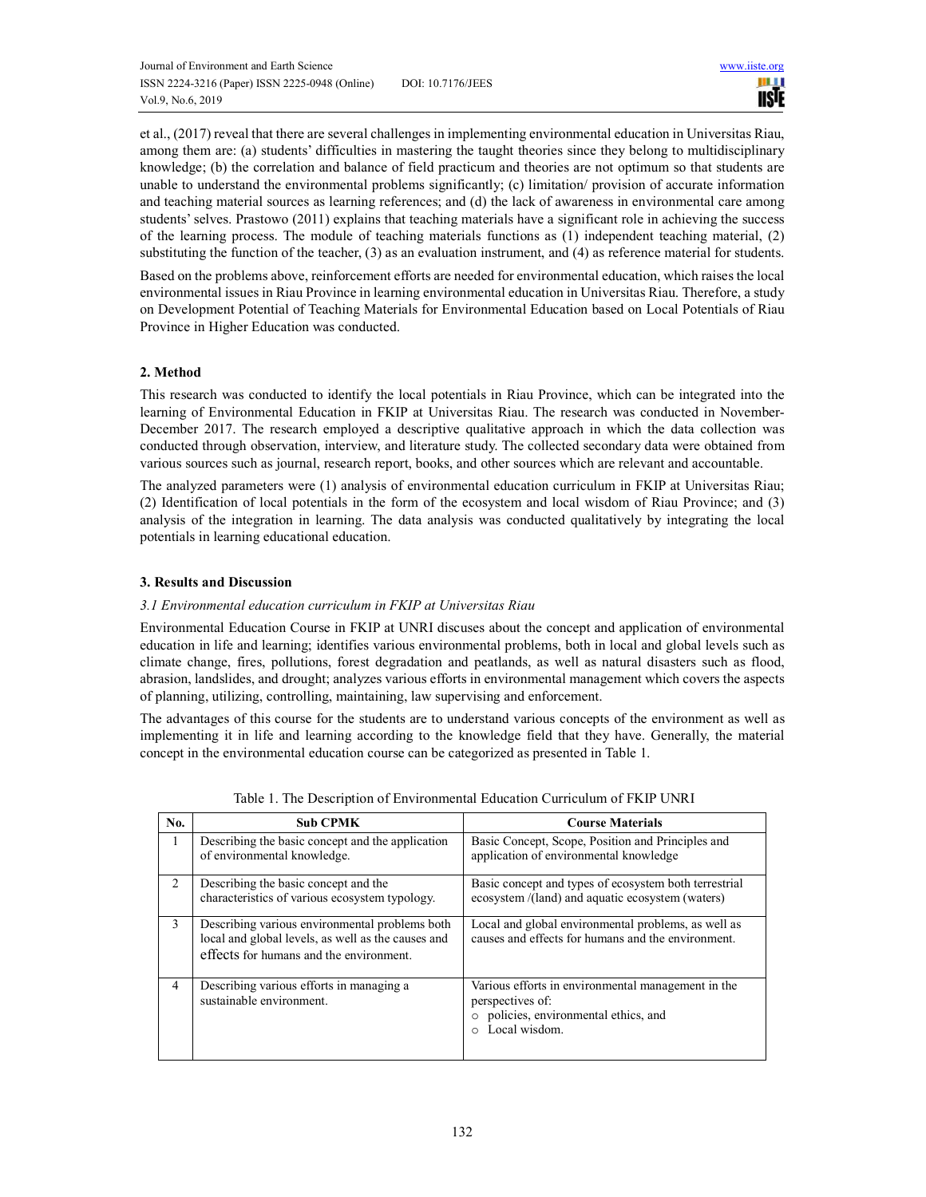et al., (2017) reveal that there are several challenges in implementing environmental education in Universitas Riau, among them are: (a) students' difficulties in mastering the taught theories since they belong to multidisciplinary knowledge; (b) the correlation and balance of field practicum and theories are not optimum so that students are unable to understand the environmental problems significantly; (c) limitation/ provision of accurate information and teaching material sources as learning references; and (d) the lack of awareness in environmental care among students' selves. Prastowo (2011) explains that teaching materials have a significant role in achieving the success of the learning process. The module of teaching materials functions as (1) independent teaching material, (2) substituting the function of the teacher, (3) as an evaluation instrument, and (4) as reference material for students.

Based on the problems above, reinforcement efforts are needed for environmental education, which raises the local environmental issues in Riau Province in learning environmental education in Universitas Riau. Therefore, a study on Development Potential of Teaching Materials for Environmental Education based on Local Potentials of Riau Province in Higher Education was conducted.

## **2. Method**

This research was conducted to identify the local potentials in Riau Province, which can be integrated into the learning of Environmental Education in FKIP at Universitas Riau. The research was conducted in November-December 2017. The research employed a descriptive qualitative approach in which the data collection was conducted through observation, interview, and literature study. The collected secondary data were obtained from various sources such as journal, research report, books, and other sources which are relevant and accountable.

The analyzed parameters were (1) analysis of environmental education curriculum in FKIP at Universitas Riau; (2) Identification of local potentials in the form of the ecosystem and local wisdom of Riau Province; and (3) analysis of the integration in learning. The data analysis was conducted qualitatively by integrating the local potentials in learning educational education.

## **3. Results and Discussion**

#### *3.1 Environmental education curriculum in FKIP at Universitas Riau*

Environmental Education Course in FKIP at UNRI discuses about the concept and application of environmental education in life and learning; identifies various environmental problems, both in local and global levels such as climate change, fires, pollutions, forest degradation and peatlands, as well as natural disasters such as flood, abrasion, landslides, and drought; analyzes various efforts in environmental management which covers the aspects of planning, utilizing, controlling, maintaining, law supervising and enforcement.

The advantages of this course for the students are to understand various concepts of the environment as well as implementing it in life and learning according to the knowledge field that they have. Generally, the material concept in the environmental education course can be categorized as presented in Table 1.

| No.            | <b>Sub CPMK</b>                                                                                                                                 | <b>Course Materials</b>                                                                                                          |
|----------------|-------------------------------------------------------------------------------------------------------------------------------------------------|----------------------------------------------------------------------------------------------------------------------------------|
|                | Describing the basic concept and the application<br>of environmental knowledge.                                                                 | Basic Concept, Scope, Position and Principles and<br>application of environmental knowledge                                      |
| $\mathfrak{D}$ | Describing the basic concept and the<br>characteristics of various ecosystem typology.                                                          | Basic concept and types of ecosystem both terrestrial<br>ecosystem /(land) and aquatic ecosystem (waters)                        |
| 3              | Describing various environmental problems both<br>local and global levels, as well as the causes and<br>effects for humans and the environment. | Local and global environmental problems, as well as<br>causes and effects for humans and the environment.                        |
| 4              | Describing various efforts in managing a<br>sustainable environment.                                                                            | Various efforts in environmental management in the<br>perspectives of:<br>o policies, environmental ethics, and<br>Local wisdom. |

Table 1. The Description of Environmental Education Curriculum of FKIP UNRI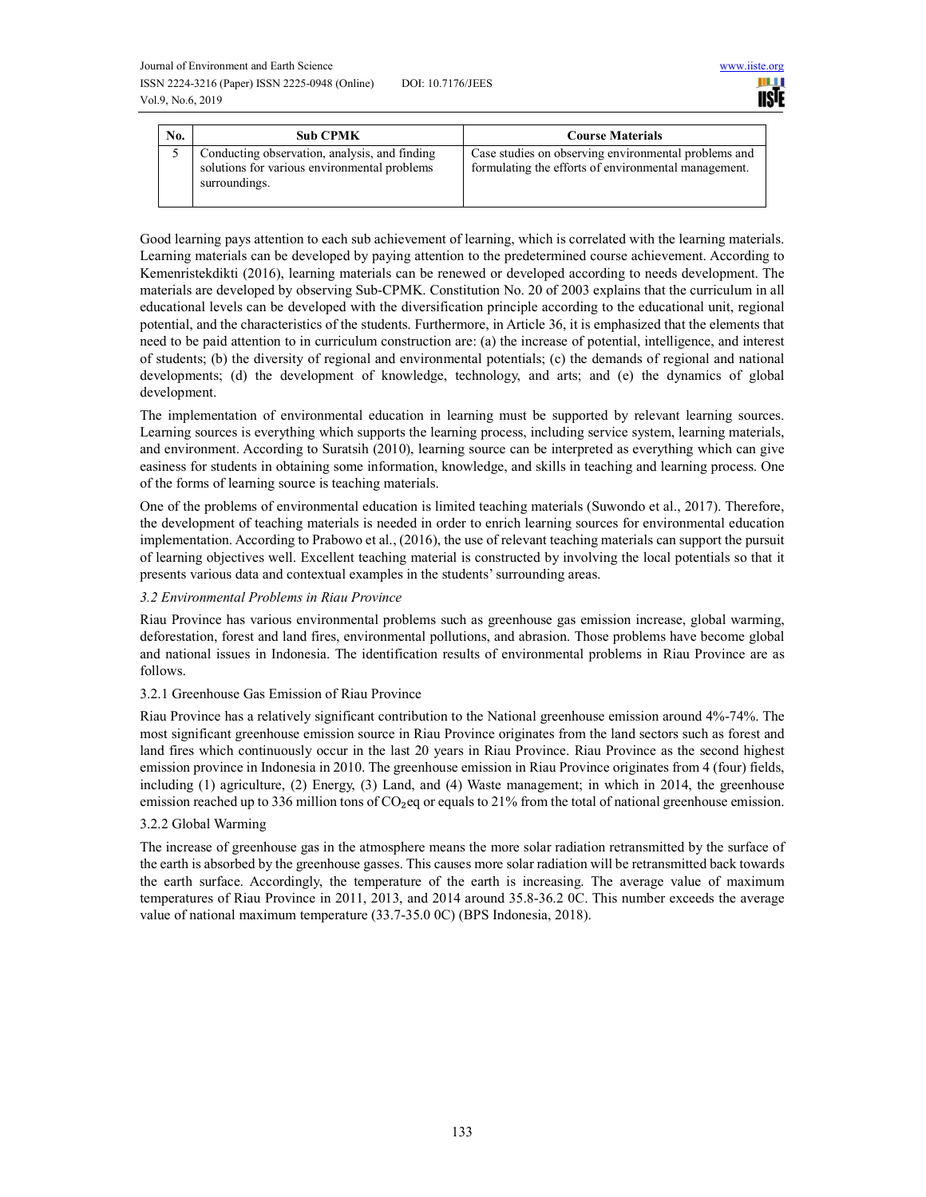

| No. | <b>Sub CPMK</b>                                                                                                | <b>Course Materials</b>                                                                                      |
|-----|----------------------------------------------------------------------------------------------------------------|--------------------------------------------------------------------------------------------------------------|
|     | Conducting observation, analysis, and finding<br>solutions for various environmental problems<br>surroundings. | Case studies on observing environmental problems and<br>formulating the efforts of environmental management. |

Good learning pays attention to each sub achievement of learning, which is correlated with the learning materials. Learning materials can be developed by paying attention to the predetermined course achievement. According to Kemenristekdikti (2016), learning materials can be renewed or developed according to needs development. The materials are developed by observing Sub-CPMK. Constitution No. 20 of 2003 explains that the curriculum in all educational levels can be developed with the diversification principle according to the educational unit, regional potential, and the characteristics of the students. Furthermore, in Article 36, it is emphasized that the elements that need to be paid attention to in curriculum construction are: (a) the increase of potential, intelligence, and interest of students; (b) the diversity of regional and environmental potentials; (c) the demands of regional and national developments; (d) the development of knowledge, technology, and arts; and (e) the dynamics of global development.

The implementation of environmental education in learning must be supported by relevant learning sources. Learning sources is everything which supports the learning process, including service system, learning materials, and environment. According to Suratsih (2010), learning source can be interpreted as everything which can give easiness for students in obtaining some information, knowledge, and skills in teaching and learning process. One of the forms of learning source is teaching materials.

One of the problems of environmental education is limited teaching materials (Suwondo et al., 2017). Therefore, the development of teaching materials is needed in order to enrich learning sources for environmental education implementation. According to Prabowo et al., (2016), the use of relevant teaching materials can support the pursuit of learning objectives well. Excellent teaching material is constructed by involving the local potentials so that it presents various data and contextual examples in the students' surrounding areas.

#### *3.2 Environmental Problems in Riau Province*

Riau Province has various environmental problems such as greenhouse gas emission increase, global warming, deforestation, forest and land fires, environmental pollutions, and abrasion. Those problems have become global and national issues in Indonesia. The identification results of environmental problems in Riau Province are as follows.

#### 3.2.1 Greenhouse Gas Emission of Riau Province

Riau Province has a relatively significant contribution to the National greenhouse emission around 4%-74%. The most significant greenhouse emission source in Riau Province originates from the land sectors such as forest and land fires which continuously occur in the last 20 years in Riau Province. Riau Province as the second highest emission province in Indonesia in 2010. The greenhouse emission in Riau Province originates from 4 (four) fields, including (1) agriculture, (2) Energy, (3) Land, and (4) Waste management; in which in 2014, the greenhouse emission reached up to 336 million tons of  $CO<sub>2</sub>$  eq or equals to 21% from the total of national greenhouse emission.

#### 3.2.2 Global Warming

The increase of greenhouse gas in the atmosphere means the more solar radiation retransmitted by the surface of the earth is absorbed by the greenhouse gasses. This causes more solar radiation will be retransmitted back towards the earth surface. Accordingly, the temperature of the earth is increasing. The average value of maximum temperatures of Riau Province in 2011, 2013, and 2014 around 35.8-36.2 0C. This number exceeds the average value of national maximum temperature (33.7-35.0 0C) (BPS Indonesia, 2018).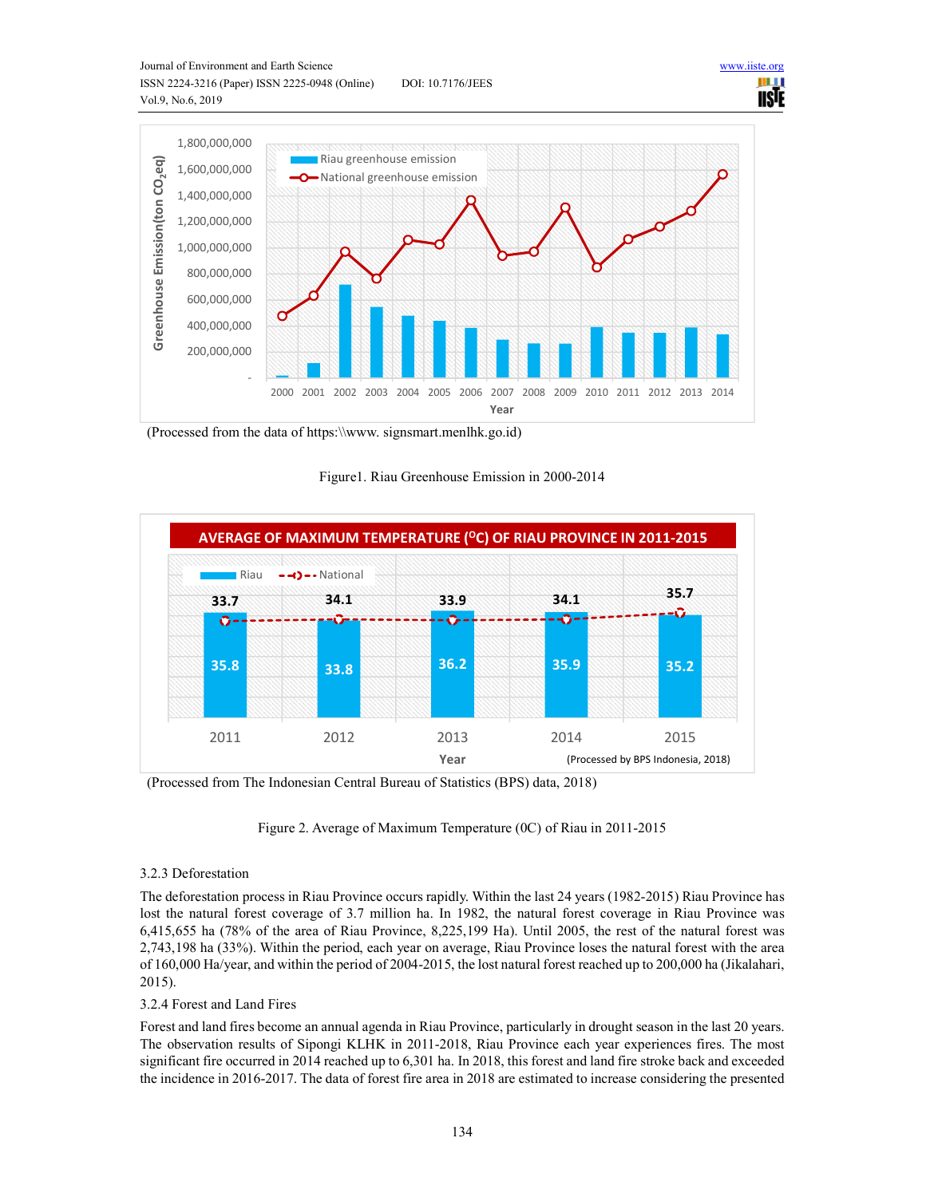



(Processed from the data of https:\\www. signsmart.menlhk.go.id)

Figure1. Riau Greenhouse Emission in 2000-2014



(Processed from The Indonesian Central Bureau of Statistics (BPS) data, 2018)

Figure 2. Average of Maximum Temperature (0C) of Riau in 2011-2015

# 3.2.3 Deforestation

The deforestation process in Riau Province occurs rapidly. Within the last 24 years (1982-2015) Riau Province has lost the natural forest coverage of 3.7 million ha. In 1982, the natural forest coverage in Riau Province was 6,415,655 ha (78% of the area of Riau Province, 8,225,199 Ha). Until 2005, the rest of the natural forest was 2,743,198 ha (33%). Within the period, each year on average, Riau Province loses the natural forest with the area of 160,000 Ha/year, and within the period of 2004-2015, the lost natural forest reached up to 200,000 ha (Jikalahari, 2015).

# 3.2.4 Forest and Land Fires

Forest and land fires become an annual agenda in Riau Province, particularly in drought season in the last 20 years. The observation results of Sipongi KLHK in 2011-2018, Riau Province each year experiences fires. The most significant fire occurred in 2014 reached up to 6,301 ha. In 2018, this forest and land fire stroke back and exceeded the incidence in 2016-2017. The data of forest fire area in 2018 are estimated to increase considering the presented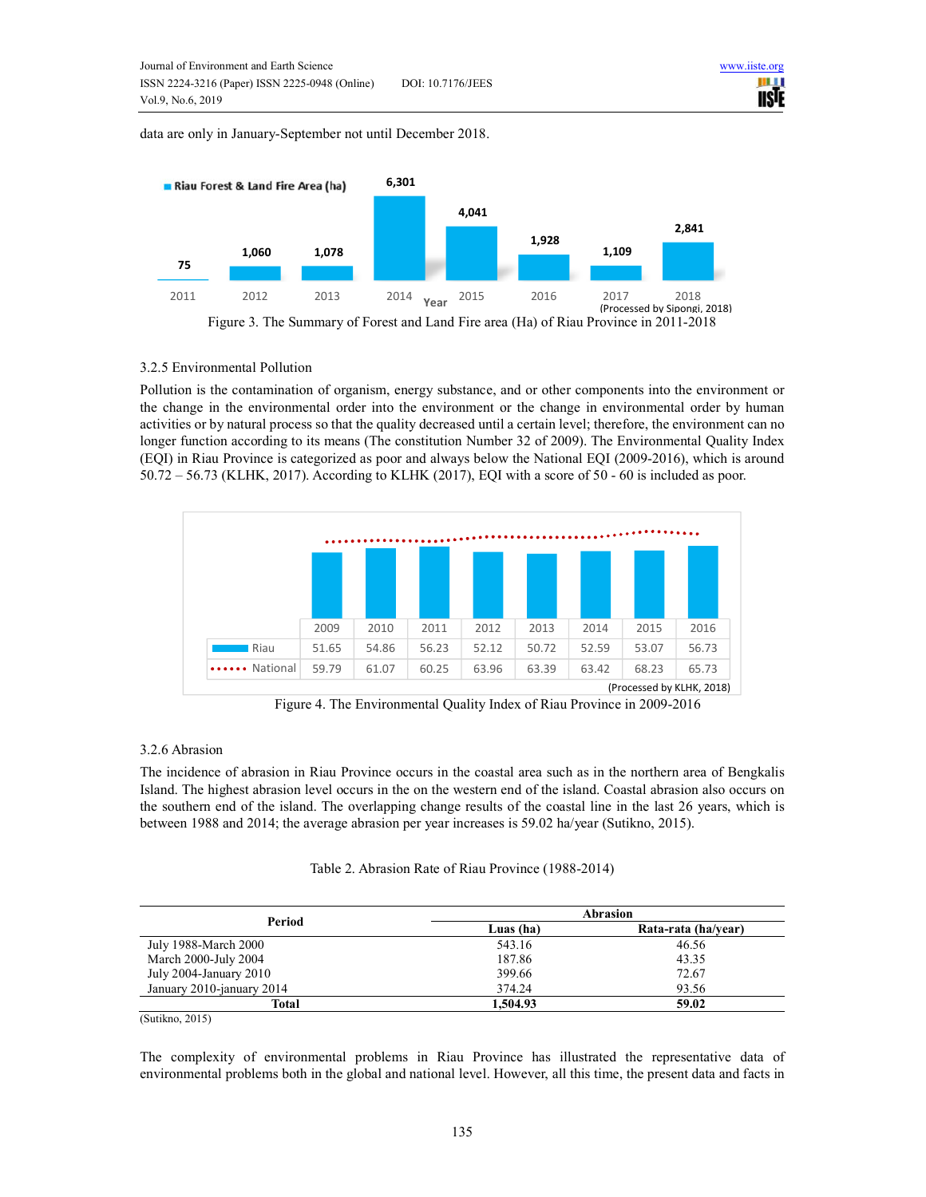data are only in January-September not until December 2018.



#### 3.2.5 Environmental Pollution

Pollution is the contamination of organism, energy substance, and or other components into the environment or the change in the environmental order into the environment or the change in environmental order by human activities or by natural process so that the quality decreased until a certain level; therefore, the environment can no longer function according to its means (The constitution Number 32 of 2009). The Environmental Quality Index (EQI) in Riau Province is categorized as poor and always below the National EQI (2009-2016), which is around 50.72 – 56.73 (KLHK, 2017). According to KLHK (2017), EQI with a score of 50 - 60 is included as poor.



Figure 4. The Environmental Quality Index of Riau Province in 2009-2016

#### 3.2.6 Abrasion

The incidence of abrasion in Riau Province occurs in the coastal area such as in the northern area of Bengkalis Island. The highest abrasion level occurs in the on the western end of the island. Coastal abrasion also occurs on the southern end of the island. The overlapping change results of the coastal line in the last 26 years, which is between 1988 and 2014; the average abrasion per year increases is 59.02 ha/year (Sutikno, 2015).

| Table 2. Abrasion Rate of Riau Province (1988-2014) |  |  |  |
|-----------------------------------------------------|--|--|--|
|-----------------------------------------------------|--|--|--|

| Period                    | Abrasion  |                     |  |
|---------------------------|-----------|---------------------|--|
|                           | Luas (ha) | Rata-rata (ha/year) |  |
| July 1988-March 2000      | 543.16    | 46.56               |  |
| March 2000-July 2004      | 187.86    | 43.35               |  |
| July 2004-January $2010$  | 399.66    | 72.67               |  |
| January 2010-january 2014 | 374.24    | 93.56               |  |
| Total                     | 1.504.93  | 59.02               |  |

(Sutikno, 2015)

The complexity of environmental problems in Riau Province has illustrated the representative data of environmental problems both in the global and national level. However, all this time, the present data and facts in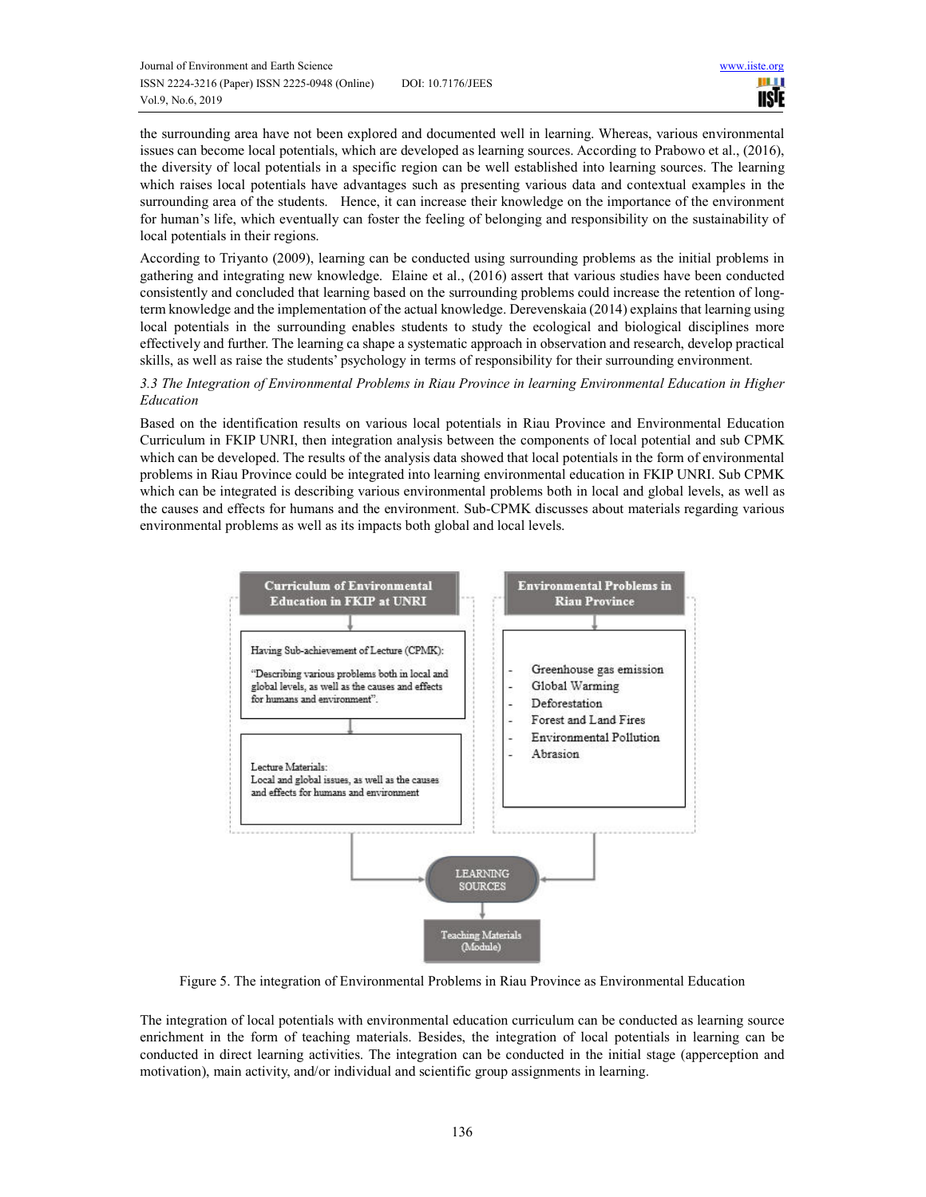the surrounding area have not been explored and documented well in learning. Whereas, various environmental issues can become local potentials, which are developed as learning sources. According to Prabowo et al., (2016), the diversity of local potentials in a specific region can be well established into learning sources. The learning which raises local potentials have advantages such as presenting various data and contextual examples in the surrounding area of the students. Hence, it can increase their knowledge on the importance of the environment for human's life, which eventually can foster the feeling of belonging and responsibility on the sustainability of local potentials in their regions.

According to Triyanto (2009), learning can be conducted using surrounding problems as the initial problems in gathering and integrating new knowledge. Elaine et al., (2016) assert that various studies have been conducted consistently and concluded that learning based on the surrounding problems could increase the retention of longterm knowledge and the implementation of the actual knowledge. Derevenskaia (2014) explains that learning using local potentials in the surrounding enables students to study the ecological and biological disciplines more effectively and further. The learning ca shape a systematic approach in observation and research, develop practical skills, as well as raise the students' psychology in terms of responsibility for their surrounding environment.

*3.3 The Integration of Environmental Problems in Riau Province in learning Environmental Education in Higher Education* 

Based on the identification results on various local potentials in Riau Province and Environmental Education Curriculum in FKIP UNRI, then integration analysis between the components of local potential and sub CPMK which can be developed. The results of the analysis data showed that local potentials in the form of environmental problems in Riau Province could be integrated into learning environmental education in FKIP UNRI. Sub CPMK which can be integrated is describing various environmental problems both in local and global levels, as well as the causes and effects for humans and the environment. Sub-CPMK discusses about materials regarding various environmental problems as well as its impacts both global and local levels.



Figure 5. The integration of Environmental Problems in Riau Province as Environmental Education

The integration of local potentials with environmental education curriculum can be conducted as learning source enrichment in the form of teaching materials. Besides, the integration of local potentials in learning can be conducted in direct learning activities. The integration can be conducted in the initial stage (apperception and motivation), main activity, and/or individual and scientific group assignments in learning.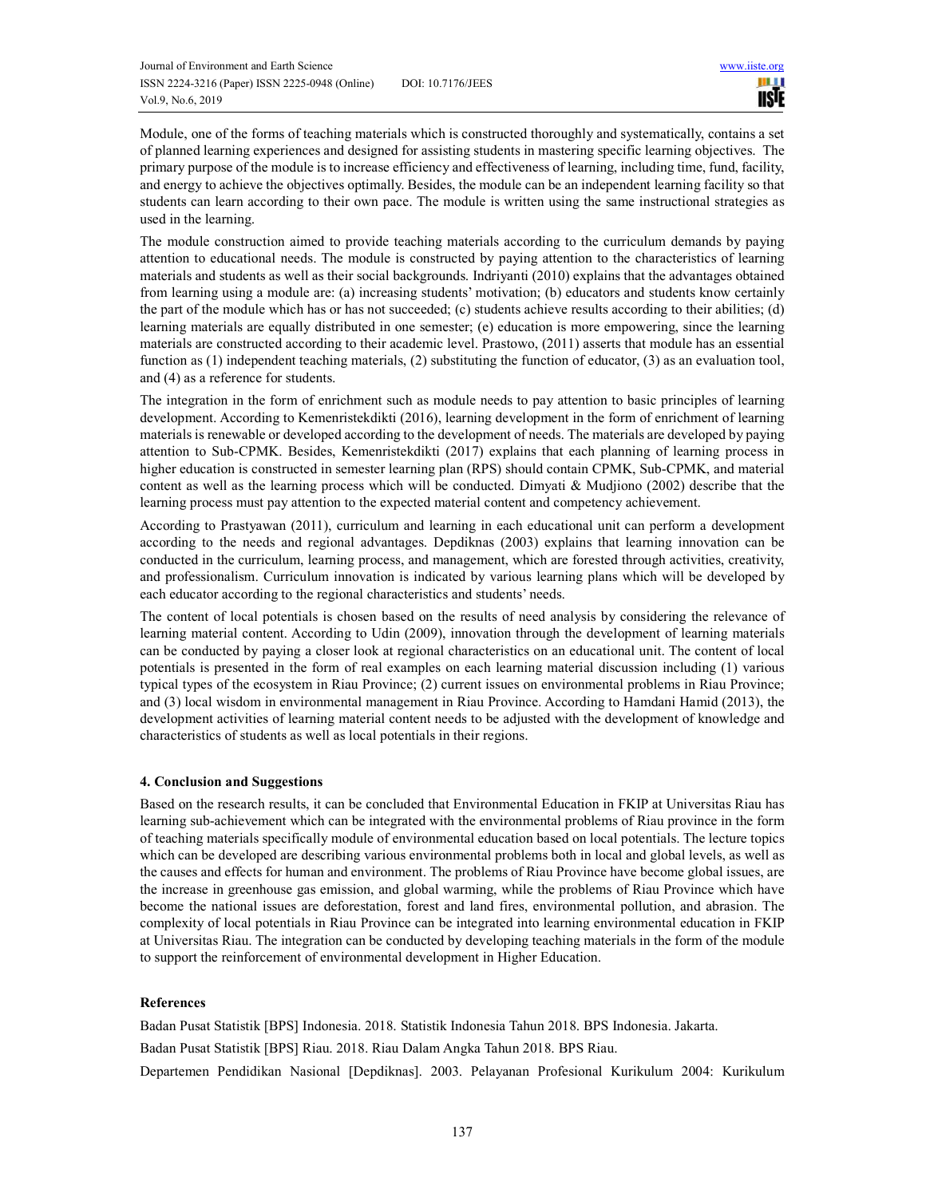Module, one of the forms of teaching materials which is constructed thoroughly and systematically, contains a set of planned learning experiences and designed for assisting students in mastering specific learning objectives. The primary purpose of the module is to increase efficiency and effectiveness of learning, including time, fund, facility, and energy to achieve the objectives optimally. Besides, the module can be an independent learning facility so that students can learn according to their own pace. The module is written using the same instructional strategies as used in the learning.

The module construction aimed to provide teaching materials according to the curriculum demands by paying attention to educational needs. The module is constructed by paying attention to the characteristics of learning materials and students as well as their social backgrounds. Indriyanti (2010) explains that the advantages obtained from learning using a module are: (a) increasing students' motivation; (b) educators and students know certainly the part of the module which has or has not succeeded; (c) students achieve results according to their abilities; (d) learning materials are equally distributed in one semester; (e) education is more empowering, since the learning materials are constructed according to their academic level. Prastowo, (2011) asserts that module has an essential function as (1) independent teaching materials, (2) substituting the function of educator, (3) as an evaluation tool, and (4) as a reference for students.

The integration in the form of enrichment such as module needs to pay attention to basic principles of learning development. According to Kemenristekdikti (2016), learning development in the form of enrichment of learning materials is renewable or developed according to the development of needs. The materials are developed by paying attention to Sub-CPMK. Besides, Kemenristekdikti (2017) explains that each planning of learning process in higher education is constructed in semester learning plan (RPS) should contain CPMK, Sub-CPMK, and material content as well as the learning process which will be conducted. Dimyati & Mudjiono (2002) describe that the learning process must pay attention to the expected material content and competency achievement.

According to Prastyawan (2011), curriculum and learning in each educational unit can perform a development according to the needs and regional advantages. Depdiknas (2003) explains that learning innovation can be conducted in the curriculum, learning process, and management, which are forested through activities, creativity, and professionalism. Curriculum innovation is indicated by various learning plans which will be developed by each educator according to the regional characteristics and students' needs.

The content of local potentials is chosen based on the results of need analysis by considering the relevance of learning material content. According to Udin (2009), innovation through the development of learning materials can be conducted by paying a closer look at regional characteristics on an educational unit. The content of local potentials is presented in the form of real examples on each learning material discussion including (1) various typical types of the ecosystem in Riau Province; (2) current issues on environmental problems in Riau Province; and (3) local wisdom in environmental management in Riau Province. According to Hamdani Hamid (2013), the development activities of learning material content needs to be adjusted with the development of knowledge and characteristics of students as well as local potentials in their regions.

#### **4. Conclusion and Suggestions**

Based on the research results, it can be concluded that Environmental Education in FKIP at Universitas Riau has learning sub-achievement which can be integrated with the environmental problems of Riau province in the form of teaching materials specifically module of environmental education based on local potentials. The lecture topics which can be developed are describing various environmental problems both in local and global levels, as well as the causes and effects for human and environment. The problems of Riau Province have become global issues, are the increase in greenhouse gas emission, and global warming, while the problems of Riau Province which have become the national issues are deforestation, forest and land fires, environmental pollution, and abrasion. The complexity of local potentials in Riau Province can be integrated into learning environmental education in FKIP at Universitas Riau. The integration can be conducted by developing teaching materials in the form of the module to support the reinforcement of environmental development in Higher Education.

#### **References**

Badan Pusat Statistik [BPS] Indonesia. 2018. Statistik Indonesia Tahun 2018. BPS Indonesia. Jakarta. Badan Pusat Statistik [BPS] Riau. 2018. Riau Dalam Angka Tahun 2018. BPS Riau. Departemen Pendidikan Nasional [Depdiknas]. 2003. Pelayanan Profesional Kurikulum 2004: Kurikulum